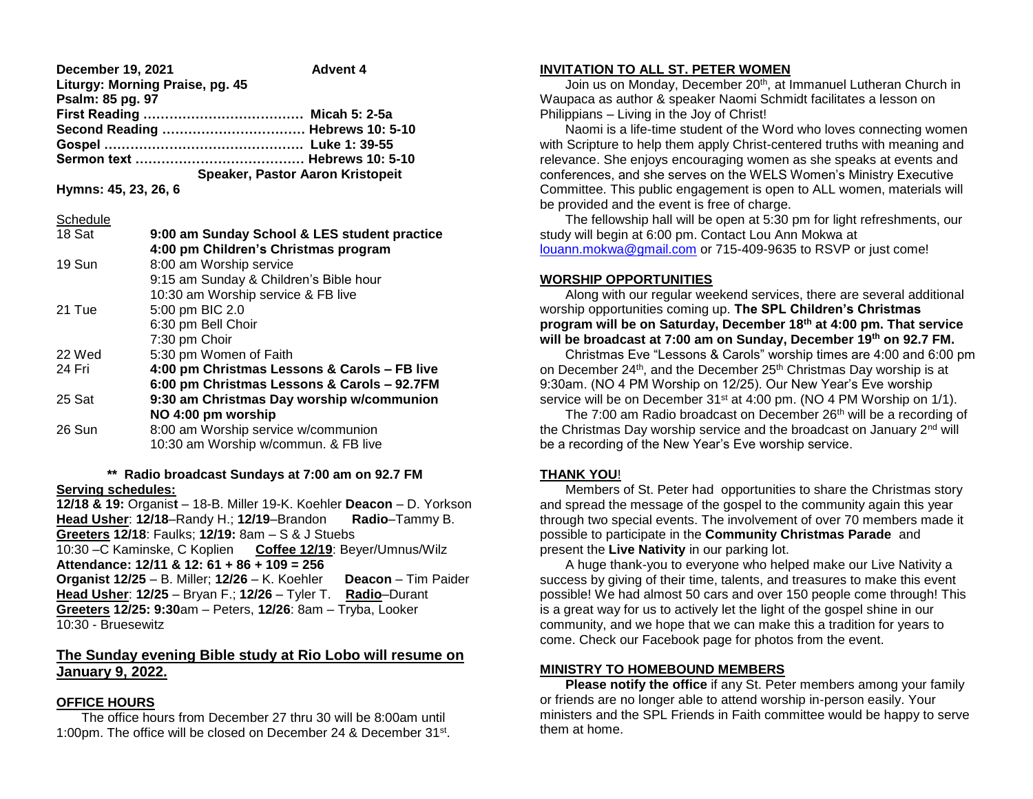**December 19, 2021 Advent 4 Liturgy: Morning Praise, pg. 45 Psalm: 85 pg. 97 First Reading ………………………………. Micah 5: 2-5a Second Reading …………………………… Hebrews 10: 5-10 Gospel ………………………………………. Luke 1: 39-55 Sermon text ………………………………… Hebrews 10: 5-10 Speaker, Pastor Aaron Kristopeit**

**Hymns: 45, 23, 26, 6**

### **Schedule**

| 18 Sat | 9:00 am Sunday School & LES student practice |
|--------|----------------------------------------------|
|        | 4:00 pm Children's Christmas program         |
|        |                                              |
| 19 Sun | 8:00 am Worship service                      |
|        | 9:15 am Sunday & Children's Bible hour       |
|        | 10:30 am Worship service & FB live           |
| 21 Tue | 5:00 pm BIC 2.0                              |
|        | 6:30 pm Bell Choir                           |
|        | 7:30 pm Choir                                |
| 22 Wed | 5:30 pm Women of Faith                       |
| 24 Fri | 4:00 pm Christmas Lessons & Carols - FB live |
|        | 6:00 pm Christmas Lessons & Carols - 92.7FM  |
| 25 Sat | 9:30 am Christmas Day worship w/communion    |
|        | NO 4:00 pm worship                           |
| 26 Sun | 8:00 am Worship service w/communion          |
|        | 10:30 am Worship w/commun. & FB live         |

#### **\*\* Radio broadcast Sundays at 7:00 am on 92.7 FM Serving schedules:**

**12/18 & 19:** Organis**t** – 18-B. Miller 19-K. Koehler **Deacon** – D. Yorkson **Head Usher**: **12/18**–Randy H.; **12/19**–Brandon **Radio**–Tammy B. **Greeters 12/18**: Faulks; **12/19:** 8am – S & J Stuebs 10:30 –C Kaminske, C Koplien **Coffee 12/19**: Beyer/Umnus/Wilz **Attendance: 12/11 & 12: 61 + 86 + 109 = 256 Organist 12/25** – B. Miller; **12/26** – K. Koehler **Deacon** – Tim Paider **Head Usher**: **12/25** – Bryan F.; **12/26** – Tyler T. **Radio**–Durant **Greeters 12/25: 9:30**am – Peters, **12/26**: 8am – Tryba, Looker 10:30 - Bruesewitz

### **The Sunday evening Bible study at Rio Lobo will resume on January 9, 2022.**

### **OFFICE HOURS**

 The office hours from December 27 thru 30 will be 8:00am until 1:00pm. The office will be closed on December 24 & December 31<sup>st</sup>.

# **INVITATION TO ALL ST. PETER WOMEN**

Join us on Monday, December 20<sup>th</sup>, at Immanuel Lutheran Church in Waupaca as author & speaker Naomi Schmidt facilitates a lesson on Philippians – Living in the Joy of Christ!

 Naomi is a life-time student of the Word who loves connecting women with Scripture to help them apply Christ-centered truths with meaning and relevance. She enjoys encouraging women as she speaks at events and conferences, and she serves on the WELS Women's Ministry Executive Committee. This public engagement is open to ALL women, materials will be provided and the event is free of charge.

 The fellowship hall will be open at 5:30 pm for light refreshments, our study will begin at 6:00 pm. Contact Lou Ann Mokwa at [louann.mokwa@gmail.com](mailto:louann.mokwa@gmail.com) or 715-409-9635 to RSVP or just come!

### **WORSHIP OPPORTUNITIES**

 Along with our regular weekend services, there are several additional worship opportunities coming up. **The SPL Children's Christmas program will be on Saturday, December 18th at 4:00 pm. That service will be broadcast at 7:00 am on Sunday, December 19th on 92.7 FM.**

 Christmas Eve "Lessons & Carols" worship times are 4:00 and 6:00 pm on December 24<sup>th</sup>, and the December 25<sup>th</sup> Christmas Day worship is at 9:30am. (NO 4 PM Worship on 12/25). Our New Year's Eve worship service will be on December 31<sup>st</sup> at 4:00 pm. (NO 4 PM Worship on 1/1).

The 7:00 am Radio broadcast on December 26<sup>th</sup> will be a recording of the Christmas Day worship service and the broadcast on January 2<sup>nd</sup> will be a recording of the New Year's Eve worship service.

### **THANK YOU**!

 Members of St. Peter had opportunities to share the Christmas story and spread the message of the gospel to the community again this year through two special events. The involvement of over 70 members made it possible to participate in the **Community Christmas Parade** and present the **Live Nativity** in our parking lot.

 A huge thank-you to everyone who helped make our Live Nativity a success by giving of their time, talents, and treasures to make this event possible! We had almost 50 cars and over 150 people come through! This is a great way for us to actively let the light of the gospel shine in our community, and we hope that we can make this a tradition for years to come. Check our Facebook page for photos from the event.

## **MINISTRY TO HOMEBOUND MEMBERS**

**Please notify the office** if any St. Peter members among your family or friends are no longer able to attend worship in-person easily. Your ministers and the SPL Friends in Faith committee would be happy to serve them at home.